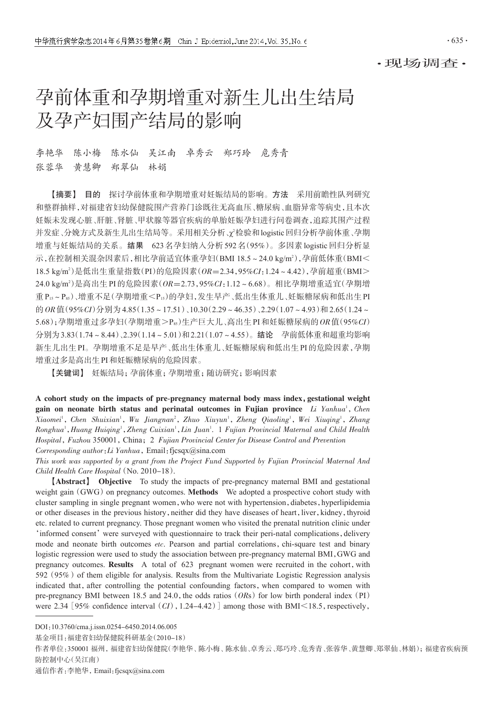## ·现场调查·

# 孕前体重和孕期增重对新生儿出生结局 及孕产妇围产结局的影响

# 李艳华 陈小梅 陈水仙 吴江南 卓秀云 郑巧玲 危秀青 张蓉华 黄慧卿 郑翠仙 林娟

【摘要】 目的 探讨孕前体重和孕期增重对妊娠结局的影响。方法 采用前瞻性队列研究 和整群抽样,对福建省妇幼保健院围产营养门诊既往无高血压、糖尿病、血脂异常等病史,且本次 妊娠未发现心脏、肝脏、肾脏、甲状腺等器官疾病的单胎妊娠孕妇进行问卷调查,追踪其围产过程 并发症、分娩方式及新生儿出生结局等。采用相关分析、χ'检验和logistic回归分析孕前体重、孕期 增重与妊娠结局的关系。结果 623名孕妇纳入分析592名(95%)。多因素logistic回归分析显 示,在控制相关混杂因素后,相比孕前适宜体重孕妇(BMI 18.5~24.0 kg/m²),孕前低体重(BMI< 18.5 kg/m2 )是低出生重量指数(PI)的危险因素(OR=2.34,95%CI:1.24~4.42),孕前超重(BMI> 24.0 kg/m²)是高出生 PI 的危险因素( OR=2.73 , 95%CI: 1.12 ~ 6.68 ) 。相比孕期增重适宜( 孕期增 重P15~P85)、增重不足(孕期增重<P15)的孕妇,发生早产、低出生体重儿、妊娠糖尿病和低出生PI 的 OR 值(95%CI)分别为 4.85(1.35~17.51)、10.30(2.29~46.35)、2.29(1.07~4.93)和 2.65(1.24~ 5.68);孕期增重过多孕妇(孕期增重>Pss)生产巨大儿、高出生PI和妊娠糖尿病的 $OR$ 值(95% $Cl$ ) 分别为3.83(1.74~8.44)、2.39(1.14~5.01)和2.21(1.07~4.55)。结论 孕前低体重和超重均影响 新生儿出生PI。孕期增重不足是早产、低出生体重儿、妊娠糖尿病和低出生PI的危险因素,孕期 增重过多是高出生PI和妊娠糖尿病的危险因素。

【关键词】 妊娠结局;孕前体重;孕期增重;随访研究;影响因素

A cohort study on the impacts of pre-pregnancy maternal body mass index,gestational weight gain on neonate birth status and perinatal outcomes in Fujian province  $Li$   $Yanhua<sup>1</sup>$ , Chen Xiaomei<sup>1</sup>, Chen Shuixian<sup>1</sup>, Wu Jiangnan<sup>2</sup>, Zhuo Xiuyun<sup>1</sup>, Zheng Qiaoling<sup>1</sup>, Wei Xiuqing<sup>1</sup>, Zhang Ronghua<sup>1</sup>, Huang Huiqing<sup>1</sup>, Zheng Cuixian<sup>1</sup>, Lin Juan<sup>1</sup>. 1 Fujian Provincial Maternal and Child Health Hospital, Fuzhou 350001, China; 2 Fujian Provincial Center for Disease Control and Prevention Corresponding author: Li Yanhua, Email: fjcsqx@sina.com

This work was supported by a grant from the Project Fund Supported by Fujian Provincial Maternal And Child Health Care Hospital (No. 2010-18).

【Abstract】 Objective To study the impacts of pre-pregnancy maternal BMI and gestational weight gain (GWG) on pregnancy outcomes. Methods We adopted a prospective cohort study with cluster sampling in single pregnant women, who were not with hypertension, diabetes, hyperlipidemia or other diseases in the previous history, neither did they have diseases of heart, liver, kidney, thyroid etc. related to current pregnancy. Those pregnant women who visited the prenatal nutrition clinic under 'informed consent' were surveyed with questionnaire to track their peri-natal complications, delivery mode and neonate birth outcomes etc. Pearson and partial correlations, chi-square test and binary logistic regression were used to study the association between pre-pregnancy maternal BMI,GWG and pregnancy outcomes. Results A total of 623 pregnant women were recruited in the cohort, with 592 (95%) of them eligible for analysis. Results from the Multivariate Logistic Regression analysis indicated that, after controlling the potential confounding factors, when compared to women with pre-pregnancy BMI between 18.5 and 24.0, the odds ratios ( $ORs$ ) for low birth ponderal index (PI) were 2.34 [95% confidence interval  $(CI)$ , 1.24-4.42)] among those with BMI $\leq$ 18.5, respectively,

DOI:10.3760/cma.j.issn.0254-6450.2014.06.005

基金项目:福建省妇幼保健院科研基金(2010-18)

作者单位:350001 福州,福建省妇幼保健院(李艳华、陈小梅、陈水仙、卓秀云、郑巧玲、危秀青、张蓉华、黄慧卿、郑翠仙、林娟);福建省疾病预 防控制中心(吴江南)

通信作者:李艳华,Email:fjcsqx@sina.com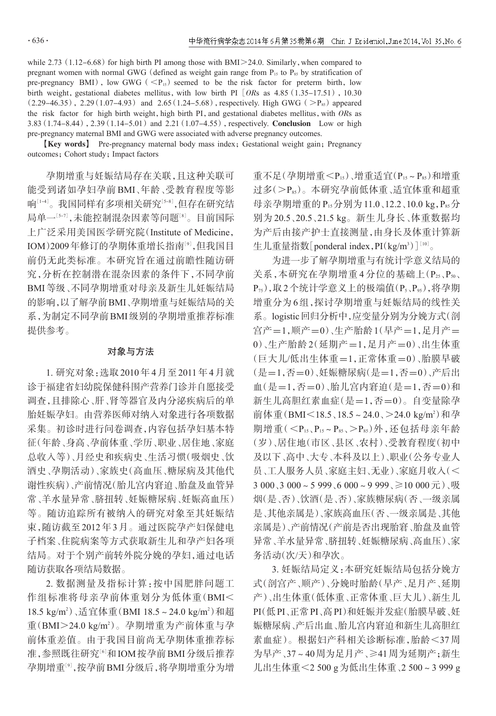while  $2.73(1.12-6.68)$  for high birth PI among those with BMI $>24.0$ . Similarly, when compared to pregnant women with normal GWG (defined as weight gain range from  $P_{15}$  to  $P_{85}$  by stratification of pre-pregnancy BMI), low GWG ( $\langle P_{15} \rangle$  seemed to be the risk factor for preterm birth, low birth weight, gestational diabetes mellitus, with low birth PI  $[ORs$  as 4.85 (1.35-17.51), 10.30  $(2.29-46.35)$ ,  $2.29(1.07-4.93)$  and  $2.65(1.24-5.68)$ , respectively. High GWG ( $>P_{85}$ ) appeared the risk factor for high birth weight, high birth PI, and gestational diabetes mellitus, with  $ORs$  as 3.83  $(1.74-8.44)$ , 2.39  $(1.14-5.01)$  and 2.21  $(1.07-4.55)$ , respectively. **Conclusion** Low or high pre-pregnancy maternal BMI and GWG were associated with adverse pregnancy outcomes.

**[Key words]** Pre-pregnancy maternal body mass index; Gestational weight gain; Pregnancy outcomes; Cohort study; Impact factors

孕期增重与妊娠结局存在关联,且这种关联可 能受到诸如孕妇孕前 BMI、年龄、受教育程度等影 响『1-4』。我国同样有多项相关研究『5-8』,但存在研究结 局单一『「,「未能控制混杂因素等问题』8』。目前国际 上广泛采用美国医学研究院(Institute of Medicine, IOM)2009年修订的孕期体重增长指南<sup>[9]</sup>,但我国目 前仍无此类标准。本研究旨在通过前瞻性随访研 究,分析在控制潜在混杂因素的条件下,不同孕前 BMI等级、不同孕期增重对母亲及新生儿妊娠结局 的影响,以了解孕前BMI、孕期增重与妊娠结局的关 系,为制定不同孕前BMI级别的孕期增重推荐标准 提供参考。

#### 对象与方法

1. 研究对象:选取2010年4月至2011年4月就 诊于福建省妇幼院保健科围产营养门诊并自愿接受 调查,且排除心、肝、肾等器官及内分泌疾病后的单 胎妊娠孕妇。由营养医师对纳入对象进行各项数据 采集。初诊时进行问卷调查,内容包括孕妇基本特 征(年龄、身高、孕前体重、学历、职业、居住地、家庭 总收入等)、月经史和疾病史、生活习惯(吸烟史、饮 酒史、孕期活动)、家族史(高血压、糖尿病及其他代 谢性疾病)、产前情况(胎儿宫内窘迫、胎盘及血管异 常、羊水量异常、脐扭转、妊娠糖尿病、妊娠高血压) 等。随访追踪所有被纳入的研究对象至其妊娠结 束,随访截至2012年3月。通过医院孕产妇保健电 子档案、住院病案等方式获取新生儿和孕产妇各项 结局。对于个别产前转外院分娩的孕妇,通过电话 随访获取各项结局数据。

2. 数据测量及指标计算:按中国肥胖问题工 作组标准将母亲孕前体重划分为低体重(BMI< 18.5 kg/m<sup>2</sup>)、适宜体重(BMI 18.5~24.0 kg/m<sup>2</sup>)和超 重(BMI>24.0 kg/m2 )。孕期增重为产前体重与孕 前体重差值。由于我国目前尚无孕期体重推荐标 准,参照既往研究<sup>[6]</sup>和IOM按孕前BMI分级后推荐 孕期增重[<sup>9</sup>] ,按孕前BMI分级后,将孕期增重分为增 重不足(孕期增重<P15)、增重适宜(P15~P85)和增重 过多(>P85)。本研究孕前低体重、适宜体重和超重 母亲孕期增重的P15分别为11.0、12.2、10.0 kg, P85分 别为 20.5、20.5、21.5 kg。新生儿身长、体重数据均 为产后由接产护士直接测量,由身长及体重计算新 生儿重量指数[ponderal index, PI(kg/m<sup>3</sup>)][10]。

为进一步了解孕期增重与有统计学意义结局的 关系,本研究在孕期增重4分位的基础上(P<sub>25</sub>,P<sub>50</sub>、 P75),取2个统计学意义上的极端值(P5、P95),将孕期 增重分为6组,探讨孕期增重与妊娠结局的线性关 系。logistic回归分析中,应变量分别为分娩方式(剖 宫产=1,顺产=0)、生产胎龄1(早产=1,足月产= 0)、生产胎龄 2(延期产=1,足月产=0)、出生体重 (巨大儿/低出生体重=1,正常体重=0)、胎膜早破 (是=1,否=0)、妊娠糖尿病(是=1,否=0)、产后出 血(是=1,否=0)、胎儿宫内窘迫(是=1,否=0)和 新生儿高胆红素血症(是=1,否=0)。自变量除孕 前体重(BMI<18.5、18.5~24.0、>24.0 kg/m<sup>2</sup>)和孕 期增重 $(< P_{15}, P_{15} \sim P_{85}, > P_{85})$ 外,还包括母亲年龄 (岁)、居住地(市区、县区、农村)、受教育程度(初中 及以下、高中、大专、本科及以上)、职业(公务专业人 员、工人服务人员、家庭主妇、无业)、家庭月收入(< 3 000、3 000~5 999、6 000~9 999、≥10 000元)、吸 烟(是、否)、饮酒(是、否)、家族糖尿病(否、一级亲属 是、其他亲属是)、家族高血压(否、一级亲属是、其他 亲属是)、产前情况(产前是否出现胎窘、胎盘及血管 异常、羊水量异常、脐扭转、妊娠糖尿病、高血压)、家 务活动(次/天)和孕次。

3. 妊娠结局定义:本研究妊娠结局包括分娩方 式(剖宫产、顺产)、分娩时胎龄(早产、足月产、延期 产)、出生体重(低体重、正常体重、巨大儿)、新生儿 PI(低PI、正常PI、高PI)和妊娠并发症(胎膜早破、妊 娠糖尿病、产后出血、胎儿宫内窘迫和新生儿高胆红 素血症)。根据妇产科相关诊断标准,胎龄<37 周 为早产、37~40周为足月产、≥41周为延期产;新生 儿出生体重<2 500 g为低出生体重、2 500~3 999 g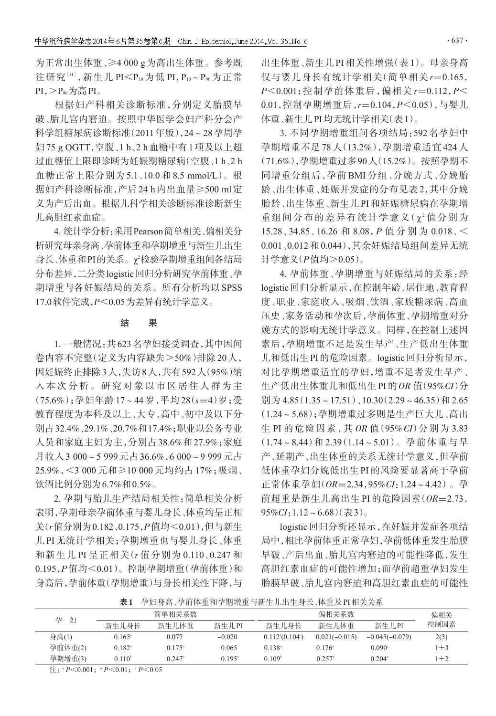为正常出生体重、≥4 000 g为高出生体重。参考既 往研究[11], 新生儿 PI<P10 为低 PI, P10~P90 为正常  $PI, P_{90}$ 为高 $PI_{\circ}$ 

根据妇产科相关诊断标准,分别定义胎膜早 破、胎儿宫内窘迫。按照中华医学会妇产科分会产 科学组糖尿病诊断标准(2011年版),24~28孕周孕 妇75 g OGTT,空腹、1 h、2 h血糖中有1项及以上超 过血糖值上限即诊断为妊娠期糖尿病(空腹、1 h、2 h 血糖正常上限分别为 5.1、10.0 和 8.5 mmol/L)。根 据妇产科诊断标准,产后24 h内出血量≥500 ml定 义为产后出血。根据儿科学相关诊断标准诊断新生 儿高胆红素血症。

4. 统计学分析:采用Pearson简单相关、偏相关分 析研究母亲身高、孕前体重和孕期增重与新生儿出生 身长 、体重和PI的关系。χ<sup>2</sup>检验孕期增重组间各结局 分布差异,二分类logistic回归分析研究孕前体重、孕 期增重与各妊娠结局的关系。所有分析均以SPSS 17.0软件完成,P<0.05为差异有统计学意义。

### 结 果

1. 一般情况:共623名孕妇接受调查,其中因问 卷内容不完整(定义为内容缺失>50%)排除20人, 因妊娠终止排除3人,失访8人,共有592人(95%)纳 入本次分析。研究对象以市区居住人群为主 (75.6%);孕妇年龄 17~44 岁,平均 28(s=4)岁;受 教育程度为本科及以上、大专、高中、初中及以下分 别占32.4%、29.1%、20.7%和17.4%;职业以公务专业 人员和家庭主妇为主,分别占38.6%和27.9%;家庭 月收入3 000~5 999元占36.6%,6 000~9 999元占 25.9%,<3 000 元和≥10 000 元均约占 17%;吸烟、 饮酒比例分别为6.7%和0.5%。

2. 孕期与胎儿生产结局相关性:简单相关分析 表明,孕期母亲孕前体重与婴儿身长、体重均呈正相 关(r值分别为0.182、0.175,P值均<0.01),但与新生 儿 PI 无统计学相关;孕期增重也与婴儿身长、体重 和新生儿 PI 呈正相关(r 值分别为 0.110、0.247 和 0.195,P值均<0.01)。控制孕期增重(孕前体重)和 身高后,孕前体重(孕期增重)与身长相关性下降,与 出生体重、新生儿PI相关性增强(表1)。母亲身高 仅与婴儿身长有统计学相关(简单相关 r=0.165, P<0.001;控制孕前体重后,偏相关 r=0.112,P< 0.01,控制孕期增重后,r=0.104,P<0.05),与婴儿 体重、新生儿PI均无统计学相关(表1)。

3. 不同孕期增重组间各项结局:592 名孕妇中 孕期增重不足 78 人(13.2%),孕期增重适宜 424 人 (71.6%),孕期增重过多90人(15.2%)。按照孕期不 同增重分组后,孕前 BMI 分组、分娩方式、分娩胎 龄、出生体重、妊娠并发症的分布见表 2,其中分娩 胎龄、出生体重、新生儿 PI 和妊娠糖尿病在孕期增 重组间分布的差异有统计学意义(χ<sup>2</sup>值分别为 15.28、34.85、16.26 和 8.08,P 值 分 别 为 0.018、< 0.001、0.012和0.044),其余妊娠结局组间差异无统 计学意义(P值均>0.05)。

4. 孕前体重、孕期增重与妊娠结局的关系:经 logistic回归分析显示,在控制年龄、居住地、教育程 度、职业、家庭收入、吸烟、饮酒、家族糖尿病、高血 压史、家务活动和孕次后,孕前体重、孕期增重对分 娩方式的影响无统计学意义。同样,在控制上述因 素后,孕期增重不足是发生早产、生产低出生体重 儿和低出生PI的危险因素。logistic回归分析显示, 对比孕期增重适宜的孕妇,增重不足者发生早产、 生产低出生体重儿和低出生PI的OR 值(95%CI)分 别为  $4.85(1.35 \times 17.51)$ 、 $10.30(2.29 \times 46.35)$ 和 2.65 (1.24~5.68);孕期增重过多则是生产巨大儿、高出 生 PI 的危险因素,其 OR 值(95% CI)分别为 3.83 (1.74~8.44)和 2.39(1.14~5.01)。孕前体重与早 产、延期产、出生体重的关系无统计学意义,但孕前 低体重孕妇分娩低出生 PI 的风险要显著高于孕前 正常体重孕妇(OR=2.34,95%CI:1.24~4.42)。孕 前超重是新生儿高出生 PI 的危险因素 $(OR=2.73,$  $95\%CI:1.12 \sim 6.68$ )(表3)。

logistic回归分析还显示,在妊娠并发症各项结 局中,相比孕前体重正常孕妇,孕前低体重发生胎膜 早破、产后出血、胎儿宫内窘迫的可能性降低,发生 高胆红素血症的可能性增加;而孕前超重孕妇发生 胎膜早破、胎儿宫内窘迫和高胆红素血症的可能性

|  | 表1 孕妇身高、孕前体重和孕期增重与新生儿出生身长、体重及PI相关关系 |
|--|-------------------------------------|
|--|-------------------------------------|

| 孕<br>妇  | 简单相关系数          |                 |                 |                    | 偏相关             |                  |         |
|---------|-----------------|-----------------|-----------------|--------------------|-----------------|------------------|---------|
|         | 新生儿身长           | 新生儿体重           | 新生儿PI           | 新生儿身长              | 新生儿体重           | 新生儿PI            | 控制因素    |
| 身高(1)   | $0.165^{\circ}$ | 0.077           | $-0.020$        | 0.112(0.104)       | $0.021(-0.015)$ | $-0.045(-0.079)$ | 2(3)    |
| 孕前体重(2) | $0.182^{\circ}$ | $0.175^{\circ}$ | 0.065           | $0.138^{a}$        | $0.176^{\circ}$ | 0.090°           | $1 + 3$ |
| 孕期增重(3) | $0.110^{b}$     | $0.247^{\circ}$ | $0.195^{\circ}$ | 0.109 <sup>b</sup> | $0.257^{\circ}$ | $0.204^{\circ}$  | $1 + 2$ |

注:  ${}^{t}P \leq 0.001$ ;  ${}^{t}P \leq 0.01$ ;  ${}^{t}P \leq 0.05$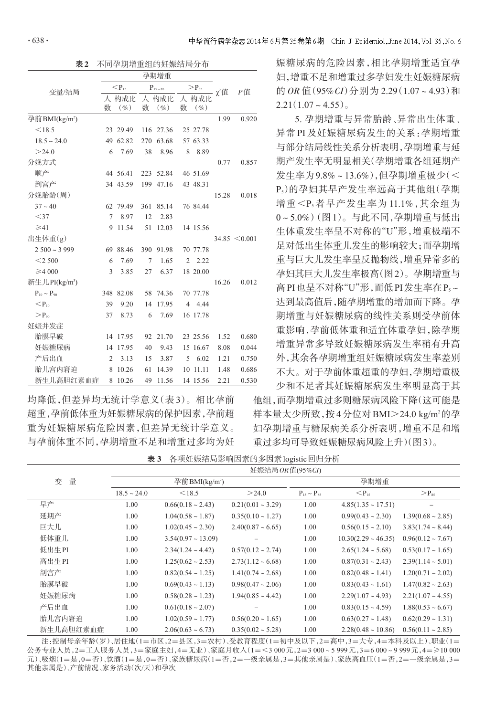|                           | 孕期增重           |           |             |           |                    |          |            |                   |
|---------------------------|----------------|-----------|-------------|-----------|--------------------|----------|------------|-------------------|
| 变量/结局                     | $< P_{15}$     |           | $P_{15-85}$ |           | $\rm{>}P_{\rm 85}$ |          | $\chi^2$ 值 | P值                |
|                           | 人              | 构成比       |             | 人 构成比     | 人                  | 构成比      |            |                   |
|                           | 数              | $(\%)$    | 数           | $(\%)$    | 数                  | $(\%)$   |            |                   |
| 孕前BMI(kg/m <sup>2</sup> ) |                |           |             |           |                    |          | 1.99       | 0.920             |
| < 18.5                    |                | 23 29.49  |             | 116 27.36 |                    | 25 27.78 |            |                   |
| $18.5 \sim 24.0$          |                | 49 62.82  | 270         | 63.68     |                    | 57 63.33 |            |                   |
| >24.0                     | 6              | 7.69      | 38          | 8.96      | 8                  | 8.89     |            |                   |
| 分娩方式                      |                |           |             |           |                    |          | 0.77       | 0.857             |
| 顺产                        |                | 44 56.41  | 223         | 52.84     |                    | 46 51.69 |            |                   |
| 剖宫产                       |                | 34 43.59  | 199         | 47.16     |                    | 43 48.31 |            |                   |
| 分娩胎龄(周)                   |                |           |             |           |                    |          | 15.28      | 0.018             |
| $37 - 40$                 |                | 62 79.49  | 361         | 85.14     |                    | 76 84.44 |            |                   |
| $<$ 37                    | 7              | 8.97      | 12          | 2.83      |                    |          |            |                   |
| $\geq 41$                 | 9              | 11.54     | 51          | 12.03     |                    | 14 15.56 |            |                   |
| 出生体重(g)                   |                |           |             |           |                    |          |            | $34.85 \le 0.001$ |
| $2500 - 3999$             |                | 69 88.46  | 390         | 91.98     |                    | 70 77.78 |            |                   |
| $<$ 2 500                 | 6              | 7.69      | 7           | 1.65      | $\overline{2}$     | 2.22     |            |                   |
| $\geq 4000$               | 3              | 3.85      | 27          | 6.37      |                    | 18 20.00 |            |                   |
| 新生儿PI(kg/m <sup>3</sup> ) |                |           |             |           |                    |          | 16.26      | 0.012             |
| $P_{10} \sim P_{90}$      |                | 348 82.08 | 58          | 74.36     |                    | 70 77.78 |            |                   |
| $\mathsf{<}P_{10}$        | 39             | 9.20      | 14          | 17.95     | $\overline{4}$     | 4.44     |            |                   |
| $> \! P_{90}$             | 37             | 8.73      | 6           | 7.69      |                    | 16 17.78 |            |                   |
| 妊娠并发症                     |                |           |             |           |                    |          |            |                   |
| 胎膜早破                      |                | 14 17.95  | 92          | 21.70     |                    | 23 25.56 | 1.52       | 0.680             |
| 妊娠糖尿病                     | 14             | 17.95     | 40          | 9.43      |                    | 15 16.67 | 8.08       | 0.044             |
| 产后出血                      | $\overline{2}$ | 3.13      | 15          | 3.87      | 5                  | 6.02     | 1.21       | 0.750             |
| 胎儿宫内窘迫                    | 8              | 10.26     | 61          | 14.39     | 10                 | 11.11    | 1.48       | 0.686             |
| 新生儿高胆红素血症                 | 8              | 10.26     | 49          | 11.56     |                    | 14 15.56 | 2.21       | 0.530             |

均降低,但差异均无统计学意义(表 3)。相比孕前 超重,孕前低体重为妊娠糖尿病的保护因素,孕前超 重为妊娠糖尿病危险因素,但差异无统计学意义。 与孕前体重不同,孕期增重不足和增重过多均为妊 娠糖尿病的危险因素,相比孕期增重适宜孕 妇,增重不足和增重过多孕妇发生妊娠糖尿病 的 OR 值 (95% CI) 分别为 2.29 (1.07~4.93) 和  $2.21(1.07-4.55)$ 。

5. 孕期增重与异常胎龄、异常出生体重、 异常 PI 及妊娠糖尿病发生的关系:孕期增重 与部分结局线性关系分析表明,孕期增重与延 期产发生率无明显相关(孕期增重各组延期产 发生率为9.8%~13.6%),但孕期增重极少(< P5)的孕妇其早产发生率远高于其他组(孕期 增重<P3者早产发生率为11.1%,其余组为 0~5.0%)(图1)。与此不同,孕期增重与低出 生体重发生率呈不对称的"U"形,增重极端不 足对低出生体重儿发生的影响较大;而孕期增 重与巨大儿发生率呈反抛物线,增重异常多的 孕妇其巨大儿发生率极高(图2)。孕期增重与 高PI也呈不对称"U"形,而低PI发生率在P<sub>5</sub>~ 达到最高值后,随孕期增重的增加而下降。孕 期增重与妊娠糖尿病的线性关系则受孕前体 重影响,孕前低体重和适宜体重孕妇,除孕期 增重异常多导致妊娠糖尿病发生率稍有升高 外,其余各孕期增重组妊娠糖尿病发生率差别 不大。对于孕前体重超重的孕妇,孕期增重极 少和不足者其妊娠糖尿病发生率明显高于其

他组,而孕期增重过多则糖尿病风险下降(这可能是 样本量太少所致,按4分位对BMI>24.0 kg/m<sup>2</sup>的孕 妇孕期增重与糖尿病关系分析表明,增重不足和增 重过多均可导致妊娠糖尿病风险上升)(图3)。

表 3 各项妊娠结局影响因素的多因素logistic回归分析

|        |           | 妊娠结局 <i>OR</i> 值(95%CI) |                           |                        |                      |                          |                        |  |  |  |
|--------|-----------|-------------------------|---------------------------|------------------------|----------------------|--------------------------|------------------------|--|--|--|
| 量<br>变 |           |                         | 孕前BMI(kg/m <sup>2</sup> ) |                        | 孕期增重                 |                          |                        |  |  |  |
|        |           | $18.5 \sim 24.0$        | < 18.5                    | >24.0                  | $P_{15} \sim P_{85}$ | $\mathsf{<}P_{15}$       | $> P_{85}$             |  |  |  |
|        | 早产        | 1.00                    | $0.66(0.18 \sim 2.43)$    | $0.21(0.01 \sim 3.29)$ | 1.00                 | $4.85(1.35 \sim 17.51)$  |                        |  |  |  |
|        | 延期产       | 1.00                    | $1.04(0.58 \sim 1.87)$    | $0.35(0.10 \sim 1.27)$ | 1.00                 | $0.99(0.43 \sim 2.30)$   | $1.39(0.68 \sim 2.85)$ |  |  |  |
|        | 巨大儿       | 1.00                    | $1.02(0.45 \sim 2.30)$    | $2.40(0.87 - 6.65)$    | 1.00                 | $0.56(0.15 \sim 2.10)$   | $3.83(1.74 \sim 8.44)$ |  |  |  |
|        | 低体重儿      | 1.00                    | $3.54(0.97 \sim 13.09)$   |                        | 1.00                 | $10.30(2.29 \sim 46.35)$ | $0.96(0.12 \sim 7.67)$ |  |  |  |
|        | 低出生PI     | 1.00                    | $2.34(1.24 \sim 4.42)$    | $0.57(0.12 \sim 2.74)$ | 1.00                 | $2.65(1.24 \sim 5.68)$   | $0.53(0.17 \sim 1.65)$ |  |  |  |
|        | 高出生PI     | 1.00                    | $1.25(0.62 \sim 2.53)$    | $2.73(1.12 \sim 6.68)$ | 1.00                 | $0.87(0.31 \sim 2.43)$   | $2.39(1.14 \sim 5.01)$ |  |  |  |
|        | 剖宮产       | 1.00                    | $0.82(0.54 \sim 1.25)$    | $1.41(0.74 \sim 2.68)$ | 1.00                 | $0.82(0.48 \sim 1.41)$   | $1.20(0.71 - 2.02)$    |  |  |  |
|        | 胎膜早破      | 1.00                    | $0.69(0.43 \sim 1.13)$    | $0.98(0.47 \sim 2.06)$ | 1.00                 | $0.83(0.43 \sim 1.61)$   | $1.47(0.82 \sim 2.63)$ |  |  |  |
|        | 妊娠糖尿病     | 1.00                    | $0.58(0.28 \sim 1.23)$    | $1.94(0.85 - 4.42)$    | 1.00                 | $2.29(1.07 - 4.93)$      | $2.21(1.07 - 4.55)$    |  |  |  |
|        | 产后出血      | 1.00                    | $0.61(0.18 \sim 2.07)$    |                        | 1.00                 | $0.83(0.15 \sim 4.59)$   | $1.88(0.53 \sim 6.67)$ |  |  |  |
|        | 胎儿宫内窘迫    | 1.00                    | $1.02(0.59 \sim 1.77)$    | $0.56(0.20 \sim 1.65)$ | 1.00                 | $0.63(0.27 \sim 1.48)$   | $0.62(0.29 \sim 1.31)$ |  |  |  |
|        | 新生儿高胆红素血症 | 1.00                    | $2.06(0.63 \sim 6.73)$    | $0.35(0.02 \sim 5.28)$ | 1.00                 | $2.28(0.48 \sim 10.86)$  | $0.56(0.11 \sim 2.85)$ |  |  |  |

注:控制母亲年龄(岁)、居住地(1=市区,2=县区,3=农村)、受教育程度(1=初中及以下,2=高中,3=大专,4=本科及以上)、职业(1= 公务专业人员,2=工人服务人员,3=家庭主妇,4=无业)、家庭月收入(1=<3 000元,2=3 000~5 999元,3=6 000~9 999元,4=≥10 000 元)、吸烟(1=是,0=否)、饮酒(1=是,0=否)、家族糖尿病(1=否,2=一级亲属是,3=其他亲属是)、家族高血压(1=否,2=一级亲属是,3= 其他亲属是)、产前情况、家务活动(次/天)和孕次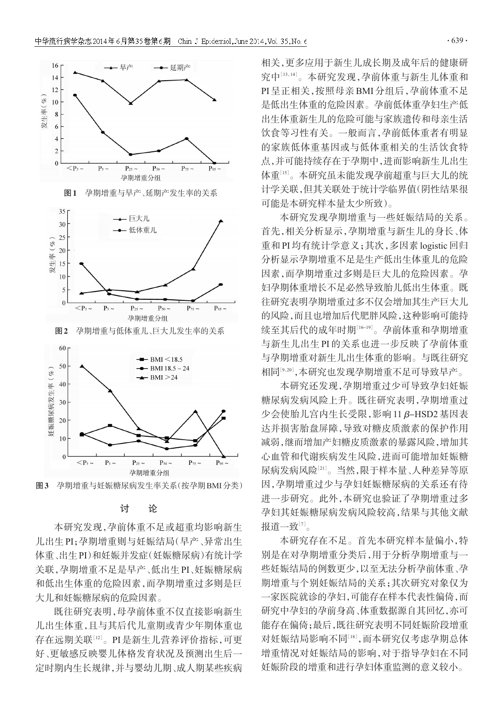



#### 讨 论

本研究发现,孕前体重不足或超重均影响新生 儿出生PI;孕期增重则与妊娠结局(早产、异常出生 体重、出生PI)和妊娠并发症(妊娠糖尿病)有统计学 关联,孕期增重不足是早产、低出生PI、妊娠糖尿病 和低出生体重的危险因素,而孕期增重过多则是巨 大儿和妊娠糖尿病的危险因素。

既往研究表明,母孕前体重不仅直接影响新生 儿出生体重,且与其后代儿童期或青少年期体重也 存在远期关联[<sup>12</sup>] 。PI是新生儿营养评价指标,可更 好、更敏感反映婴儿体格发育状况及预测出生后一 定时期内生长规律,并与婴幼儿期、成人期某些疾病

相关,更多应用于新生儿成长期及成年后的健康研 究中[13,14]。本研究发现,孕前体重与新生儿体重和 PI 呈正相关,按照母亲 BMI 分组后,孕前体重不足 是低出生体重的危险因素。孕前低体重孕妇生产低 出生体重新生儿的危险可能与家族遗传和母亲生活 饮食等习性有关。一般而言,孕前低体重者有明显 的家族低体重基因或与低体重相关的生活饮食特 点,并可能持续存在于孕期中,进而影响新生儿出生 体重''<sup>5]</sup>。本研究虽未能发现孕前超重与巨大儿的统 计学关联,但其关联处于统计学临界值(阴性结果很 可能是本研究样本量太少所致)。

本研究发现孕期增重与一些妊娠结局的关系。 首先,相关分析显示,孕期增重与新生儿的身长、体 重和PI均有统计学意义;其次,多因素logistic回归 分析显示孕期增重不足是生产低出生体重儿的危险 因素,而孕期增重过多则是巨大儿的危险因素。孕 妇孕期体重增长不足必然导致胎儿低出生体重。既 往研究表明孕期增重过多不仅会增加其生产巨大儿 的风险,而且也增加后代肥胖风险,这种影响可能持 续至其后代的成年时期[<sup>16</sup>-19] 。孕前体重和孕期增重 与新生儿出生 PI 的关系也进一步反映了孕前体重 与孕期增重对新生儿出生体重的影响。与既往研究 相同[<sup>9</sup>,20] ,本研究也发现孕期增重不足可导致早产。

本研究还发现,孕期增重过少可导致孕妇妊娠 糖尿病发病风险上升。既往研究表明,孕期增重过 少会使胎儿宫内生长受限,影响11 β-HSD2基因表 达并损害胎盘屏障,导致对糖皮质激素的保护作用 减弱,继而增加产妇糖皮质激素的暴露风险,增加其 心血管和代谢疾病发生风险,进而可能增加妊娠糖 尿病发病风险[<sup>21</sup>] 。当然,限于样本量、人种差异等原 因,孕期增重过少与孕妇妊娠糖尿病的关系还有待 进一步研究。此外,本研究也验证了孕期增重过多 孕妇其妊娠糖尿病发病风险较高,结果与其他文献 报道一致 $^{\left[7\right]}$ 。

本研究存在不足。首先本研究样本量偏小,特 别是在对孕期增重分类后,用于分析孕期增重与一 些妊娠结局的例数更少,以至无法分析孕前体重、孕 期增重与个别妊娠结局的关系;其次研究对象仅为 一家医院就诊的孕妇,可能存在样本代表性偏倚,而 研究中孕妇的孕前身高、体重数据源自其回忆,亦可 能存在偏倚;最后,既往研究表明不同妊娠阶段增重 对妊娠结局影响不同[18],而本研究仅考虑孕期总体 增重情况对妊娠结局的影响,对于指导孕妇在不同 妊娠阶段的增重和进行孕妇体重监测的意义较小。